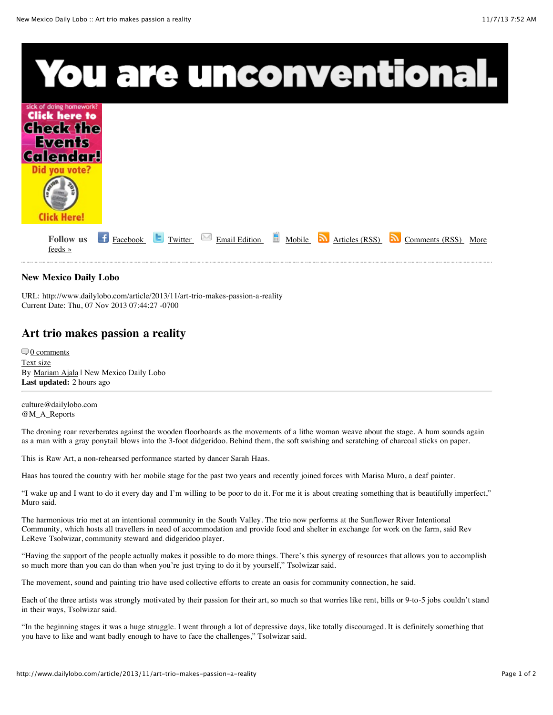

## **New Mexico Daily Lobo**

URL: http://www.dailylobo.com/article/2013/11/art-trio-makes-passion-a-reality Current Date: Thu, 07 Nov 2013 07:44:27 -0700

## **Art trio makes passion a reality**

 $\nabla$  [0 comments](http://www.dailylobo.com/article/2013/11/art-trio-makes-passion-a-reality#fb_thread) [Text size](http://www.dailylobo.com/article/2013/11/art-trio-makes-passion-a-reality#) By [Mariam Ajala](http://www.dailylobo.com/staff/mariam-ajala) | New Mexico Daily Lobo **Last updated:** 2 hours ago

culture@dailylobo.com @M\_A\_Reports

The droning roar reverberates against the wooden floorboards as the movements of a lithe woman weave about the stage. A hum sounds again as a man with a gray ponytail blows into the 3-foot didgeridoo. Behind them, the soft swishing and scratching of charcoal sticks on paper.

This is Raw Art, a non-rehearsed performance started by dancer Sarah Haas.

Haas has toured the country with her mobile stage for the past two years and recently joined forces with Marisa Muro, a deaf painter.

"I wake up and I want to do it every day and I'm willing to be poor to do it. For me it is about creating something that is beautifully imperfect," Muro said.

The harmonious trio met at an intentional community in the South Valley. The trio now performs at the Sunflower River Intentional Community, which hosts all travellers in need of accommodation and provide food and shelter in exchange for work on the farm, said Rev LeReve Tsolwizar, community steward and didgeridoo player.

"Having the support of the people actually makes it possible to do more things. There's this synergy of resources that allows you to accomplish so much more than you can do than when you're just trying to do it by yourself," Tsolwizar said.

The movement, sound and painting trio have used collective efforts to create an oasis for community connection, he said.

Each of the three artists was strongly motivated by their passion for their art, so much so that worries like rent, bills or 9-to-5 jobs couldn't stand in their ways, Tsolwizar said.

"In the beginning stages it was a huge struggle. I went through a lot of depressive days, like totally discouraged. It is definitely something that you have to like and want badly enough to have to face the challenges," Tsolwizar said.